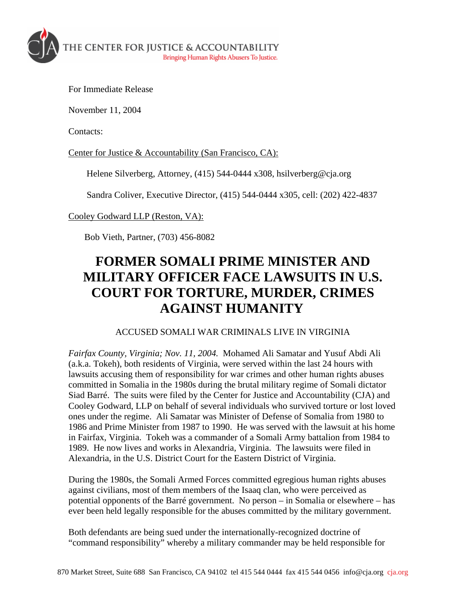

For Immediate Release

November 11, 2004

Contacts:

Center for Justice & Accountability (San Francisco, CA):

Helene Silverberg, Attorney, (415) 544-0444 x308, hsilverberg@cja.org

Sandra Coliver, Executive Director, (415) 544-0444 x305, cell: (202) 422-4837

Cooley Godward LLP (Reston, VA):

Bob Vieth, Partner, (703) 456-8082

## **FORMER SOMALI PRIME MINISTER AND MILITARY OFFICER FACE LAWSUITS IN U.S. COURT FOR TORTURE, MURDER, CRIMES AGAINST HUMANITY**

## ACCUSED SOMALI WAR CRIMINALS LIVE IN VIRGINIA

*Fairfax County, Virginia; Nov. 11, 2004.* Mohamed Ali Samatar and Yusuf Abdi Ali (a.k.a. Tokeh), both residents of Virginia, were served within the last 24 hours with lawsuits accusing them of responsibility for war crimes and other human rights abuses committed in Somalia in the 1980s during the brutal military regime of Somali dictator Siad Barré. The suits were filed by the Center for Justice and Accountability (CJA) and Cooley Godward, LLP on behalf of several individuals who survived torture or lost loved ones under the regime. Ali Samatar was Minister of Defense of Somalia from 1980 to 1986 and Prime Minister from 1987 to 1990. He was served with the lawsuit at his home in Fairfax, Virginia. Tokeh was a commander of a Somali Army battalion from 1984 to 1989. He now lives and works in Alexandria, Virginia. The lawsuits were filed in Alexandria, in the U.S. District Court for the Eastern District of Virginia.

During the 1980s, the Somali Armed Forces committed egregious human rights abuses against civilians, most of them members of the Isaaq clan, who were perceived as potential opponents of the Barré government. No person – in Somalia or elsewhere – has ever been held legally responsible for the abuses committed by the military government.

Both defendants are being sued under the internationally-recognized doctrine of "command responsibility" whereby a military commander may be held responsible for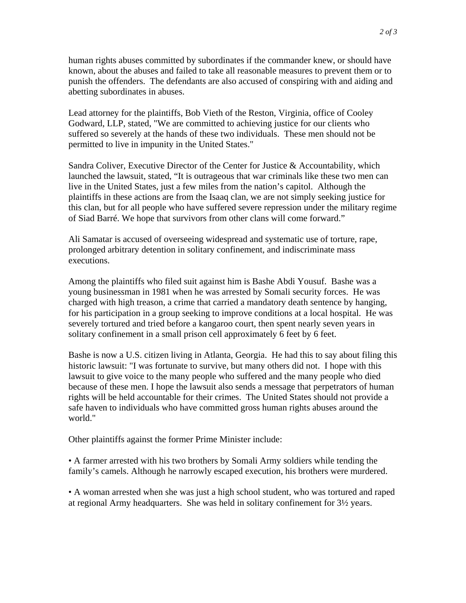human rights abuses committed by subordinates if the commander knew, or should have known, about the abuses and failed to take all reasonable measures to prevent them or to punish the offenders. The defendants are also accused of conspiring with and aiding and abetting subordinates in abuses.

Lead attorney for the plaintiffs, Bob Vieth of the Reston, Virginia, office of Cooley Godward, LLP, stated, "We are committed to achieving justice for our clients who suffered so severely at the hands of these two individuals. These men should not be permitted to live in impunity in the United States."

Sandra Coliver, Executive Director of the Center for Justice & Accountability, which launched the lawsuit, stated, "It is outrageous that war criminals like these two men can live in the United States, just a few miles from the nation's capitol. Although the plaintiffs in these actions are from the Isaaq clan, we are not simply seeking justice for this clan, but for all people who have suffered severe repression under the military regime of Siad Barré. We hope that survivors from other clans will come forward."

Ali Samatar is accused of overseeing widespread and systematic use of torture, rape, prolonged arbitrary detention in solitary confinement, and indiscriminate mass executions.

Among the plaintiffs who filed suit against him is Bashe Abdi Yousuf. Bashe was a young businessman in 1981 when he was arrested by Somali security forces. He was charged with high treason, a crime that carried a mandatory death sentence by hanging, for his participation in a group seeking to improve conditions at a local hospital. He was severely tortured and tried before a kangaroo court, then spent nearly seven years in solitary confinement in a small prison cell approximately 6 feet by 6 feet.

Bashe is now a U.S. citizen living in Atlanta, Georgia. He had this to say about filing this historic lawsuit: "I was fortunate to survive, but many others did not. I hope with this lawsuit to give voice to the many people who suffered and the many people who died because of these men. I hope the lawsuit also sends a message that perpetrators of human rights will be held accountable for their crimes. The United States should not provide a safe haven to individuals who have committed gross human rights abuses around the world."

Other plaintiffs against the former Prime Minister include:

• A farmer arrested with his two brothers by Somali Army soldiers while tending the family's camels. Although he narrowly escaped execution, his brothers were murdered.

• A woman arrested when she was just a high school student, who was tortured and raped at regional Army headquarters. She was held in solitary confinement for 3½ years.